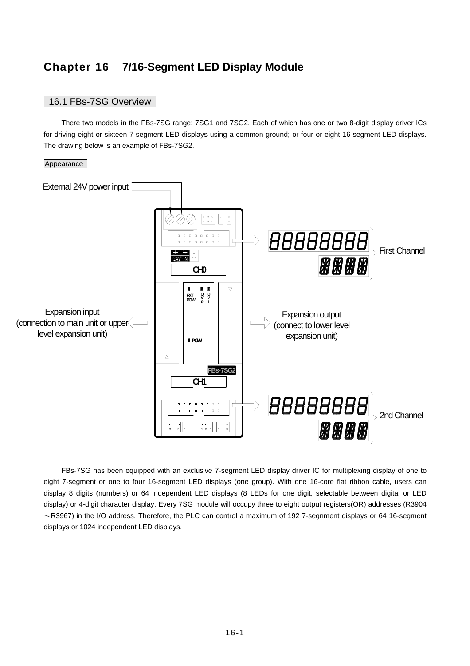# **Chapter 16 7/16-Segment LED Display Module**

# 16.1 FBs-7SG Overview

 There two models in the FBs-7SG range: 7SG1 and 7SG2. Each of which has one or two 8-digit display driver ICs for driving eight or sixteen 7-segment LED displays using a common ground; or four or eight 16-segment LED displays. The drawing below is an example of FBs-7SG2.

#### **Appearance**



 FBs-7SG has been equipped with an exclusive 7-segment LED display driver IC for multiplexing display of one to eight 7-segment or one to four 16-segment LED displays (one group). With one 16-core flat ribbon cable, users can display 8 digits (numbers) or 64 independent LED displays (8 LEDs for one digit, selectable between digital or LED display) or 4-digit character display. Every 7SG module will occupy three to eight output registers(OR) addresses (R3904  $\sim$ R3967) in the I/O address. Therefore, the PLC can control a maximum of 192 7-segnment displays or 64 16-segment displays or 1024 independent LED displays.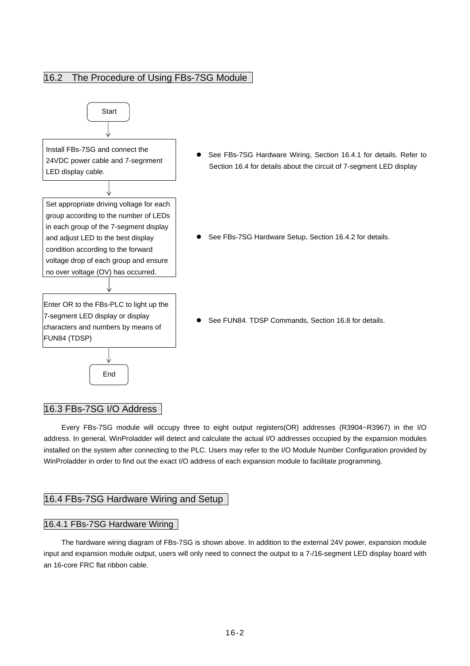# 16.2 The Procedure of Using FBs-7SG Module



## 16.3 FBs-7SG I/O Address

 Every FBs-7SG module will occupy three to eight output registers(OR) addresses (R3904~R3967) in the I/O address. In general, WinProladder will detect and calculate the actual I/O addresses occupied by the expansion modules installed on the system after connecting to the PLC. Users may refer to the I/O Module Number Configuration provided by WinProladder in order to find out the exact I/O address of each expansion module to facilitate programming.

## 16.4 FBs-7SG Hardware Wiring and Setup

## 16.4.1 FBs-7SG Hardware Wiring

 The hardware wiring diagram of FBs-7SG is shown above. In addition to the external 24V power, expansion module input and expansion module output, users will only need to connect the output to a 7-/16-segment LED display board with an 16-core FRC flat ribbon cable.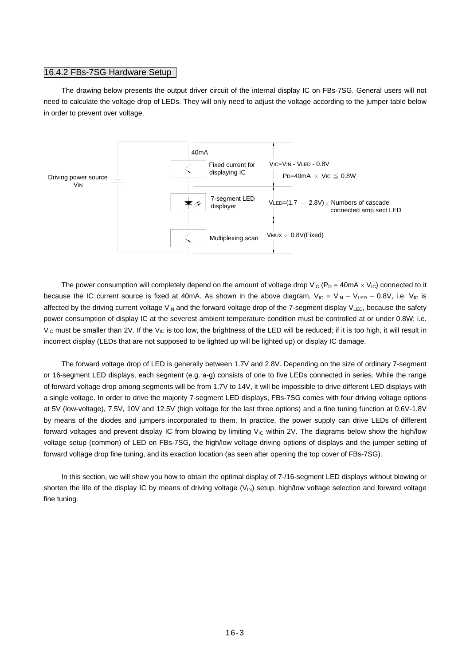#### 16.4.2 FBs-7SG Hardware Setup

 The drawing below presents the output driver circuit of the internal display IC on FBs-7SG. General users will not need to calculate the voltage drop of LEDs. They will only need to adjust the voltage according to the jumper table below in order to prevent over voltage.



The power consumption will completely depend on the amount of voltage drop  $V_{IC}$  (P<sub>D</sub> = 40mA  $\times$  V<sub>IC</sub>) connected to it because the IC current source is fixed at 40mA. As shown in the above diagram,  $V_{IC} = V_{IN} - V_{LED} - 0.8V$ , i.e.  $V_{IC}$  is affected by the driving current voltage V<sub>IN</sub> and the forward voltage drop of the 7-segment display V<sub>LED</sub>, because the safety power consumption of display IC at the severest ambient temperature condition must be controlled at or under 0.8W; i.e.  $V_{\text{IC}}$  must be smaller than 2V. If the  $V_{\text{IC}}$  is too low, the brightness of the LED will be reduced; if it is too high, it will result in incorrect display (LEDs that are not supposed to be lighted up will be lighted up) or display IC damage.

 The forward voltage drop of LED is generally between 1.7V and 2.8V. Depending on the size of ordinary 7-segment or 16-segment LED displays, each segment (e.g. a-g) consists of one to five LEDs connected in series. While the range of forward voltage drop among segments will be from 1.7V to 14V, it will be impossible to drive different LED displays with a single voltage. In order to drive the majority 7-segment LED displays, FBs-7SG comes with four driving voltage options at 5V (low-voltage), 7.5V, 10V and 12.5V (high voltage for the last three options) and a fine tuning function at 0.6V-1.8V by means of the diodes and jumpers incorporated to them. In practice, the power supply can drive LEDs of different forward voltages and prevent display IC from blowing by limiting  $V_{IC}$  within 2V. The diagrams below show the high/low voltage setup (common) of LED on FBs-7SG, the high/low voltage driving options of displays and the jumper setting of forward voltage drop fine tuning, and its exaction location (as seen after opening the top cover of FBs-7SG).

 In this section, we will show you how to obtain the optimal display of 7-/16-segment LED displays without blowing or shorten the life of the display IC by means of driving voltage (V<sub>IN</sub>) setup, high/low voltage selection and forward voltage fine tuning.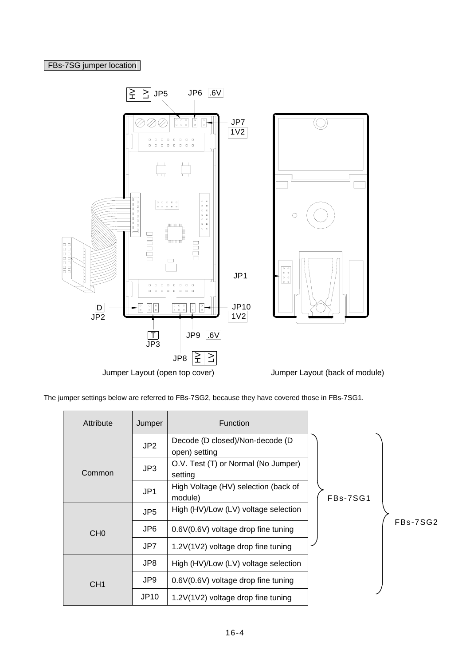# FBs-7SG jumper location



The jumper settings below are referred to FBs-7SG2, because they have covered those in FBs-7SG1.

| Attribute       | Jumper                                                             | <b>Function</b>                                  |            |
|-----------------|--------------------------------------------------------------------|--------------------------------------------------|------------|
|                 | JP2                                                                | Decode (D closed)/Non-decode (D<br>open) setting |            |
| Common          | JP3                                                                | O.V. Test (T) or Normal (No Jumper)<br>setting   |            |
|                 | High Voltage (HV) selection (back of<br>JP <sub>1</sub><br>module) |                                                  | FBs-7SG1   |
|                 | JP <sub>5</sub>                                                    | High (HV)/Low (LV) voltage selection             |            |
| CH <sub>0</sub> | JP6                                                                | 0.6V(0.6V) voltage drop fine tuning              | $FBs-7SG2$ |
|                 | JP7                                                                | 1.2V(1V2) voltage drop fine tuning               |            |
|                 | JP8                                                                | High (HV)/Low (LV) voltage selection             |            |
| CH <sub>1</sub> | JP9                                                                | 0.6V(0.6V) voltage drop fine tuning              |            |
|                 | <b>JP10</b>                                                        | 1.2V(1V2) voltage drop fine tuning               |            |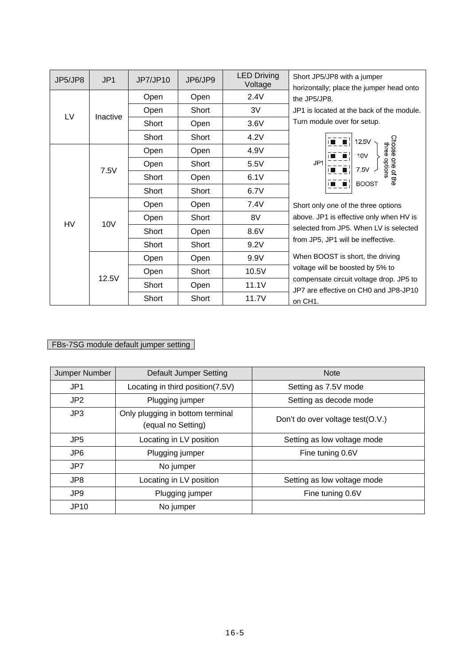| JP5/JP8   | JP1      | JP7/JP10 | JP6/JP9 | <b>LED Driving</b><br>Voltage | Short JP5/JP8 with a jumper<br>horizontally; place the jumper head onto          |  |  |  |
|-----------|----------|----------|---------|-------------------------------|----------------------------------------------------------------------------------|--|--|--|
|           |          | Open     | Open    | 2.4V                          | the JP5/JP8.                                                                     |  |  |  |
|           |          | Open     | Short   | 3V                            | JP1 is located at the back of the module.                                        |  |  |  |
| LV        | Inactive | Short    | Open    | 3.6V                          | Turn module over for setup.                                                      |  |  |  |
|           |          | Short    | Short   | 4.2V                          | 125V                                                                             |  |  |  |
|           |          | Open     | Open    | 4.9V                          | Choose one of the<br>three<br>10V                                                |  |  |  |
|           | 7.5V     | Open     | Short   | 5.5V                          | options<br>JP <sub>1</sub><br>7.5V                                               |  |  |  |
|           |          | Short    | Open    | 6.1V                          | <b>BOOST</b>                                                                     |  |  |  |
|           |          | Short    | Short   | 6.7V                          |                                                                                  |  |  |  |
|           |          | Open     | Open    | 7.4V                          | Short only one of the three options                                              |  |  |  |
| <b>HV</b> | 10V      | Open     | Short   | 8V                            | above. JP1 is effective only when HV is                                          |  |  |  |
|           |          | Short    | Open    | 8.6V                          | selected from JP5. When LV is selected                                           |  |  |  |
|           |          | Short    | Short   | 9.2V                          | from JP5, JP1 will be ineffective.                                               |  |  |  |
|           |          | Open     | Open    | 9.9V                          | When BOOST is short, the driving                                                 |  |  |  |
|           | 12.5V    | Open     | Short   | 10.5V                         | voltage will be boosted by 5% to                                                 |  |  |  |
|           |          | Short    | Open    | 11.1V                         | compensate circuit voltage drop. JP5 to<br>JP7 are effective on CH0 and JP8-JP10 |  |  |  |
|           |          | Short    | Short   | 11.7V                         | on CH1.                                                                          |  |  |  |

# FBs-7SG module default jumper setting

| Jumper Number   | Default Jumper Setting                                 | <b>Note</b>                      |
|-----------------|--------------------------------------------------------|----------------------------------|
| JP <sub>1</sub> | Locating in third position(7.5V)                       | Setting as 7.5V mode             |
| JP2             | Plugging jumper                                        | Setting as decode mode           |
| JP3             | Only plugging in bottom terminal<br>(equal no Setting) | Don't do over voltage test(O.V.) |
| JP <sub>5</sub> | Locating in LV position                                | Setting as low voltage mode      |
| JP <sub>6</sub> | Plugging jumper                                        | Fine tuning 0.6V                 |
| JP7             | No jumper                                              |                                  |
| JP8             | Locating in LV position                                | Setting as low voltage mode      |
| JP9             | Plugging jumper                                        | Fine tuning 0.6V                 |
| <b>JP10</b>     | No jumper                                              |                                  |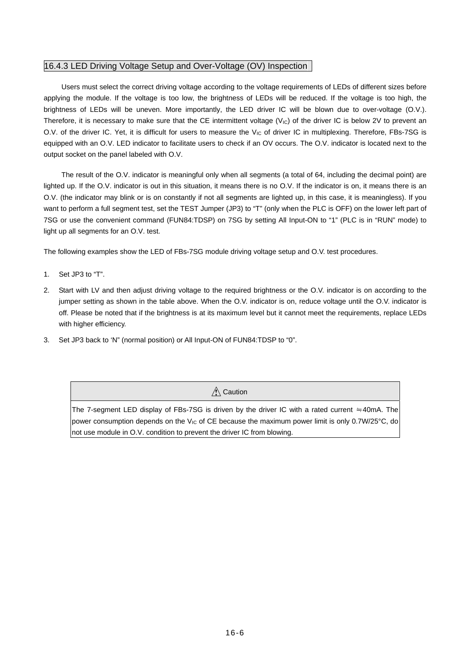## 16.4.3 LED Driving Voltage Setup and Over-Voltage (OV) Inspection

 Users must select the correct driving voltage according to the voltage requirements of LEDs of different sizes before applying the module. If the voltage is too low, the brightness of LEDs will be reduced. If the voltage is too high, the brightness of LEDs will be uneven. More importantly, the LED driver IC will be blown due to over-voltage (O.V.). Therefore, it is necessary to make sure that the CE intermittent voltage  $(V<sub>IC</sub>)$  of the driver IC is below 2V to prevent an O.V. of the driver IC. Yet, it is difficult for users to measure the V<sub>IC</sub> of driver IC in multiplexing. Therefore, FBs-7SG is equipped with an O.V. LED indicator to facilitate users to check if an OV occurs. The O.V. indicator is located next to the output socket on the panel labeled with O.V.

 The result of the O.V. indicator is meaningful only when all segments (a total of 64, including the decimal point) are lighted up. If the O.V. indicator is out in this situation, it means there is no O.V. If the indicator is on, it means there is an O.V. (the indicator may blink or is on constantly if not all segments are lighted up, in this case, it is meaningless). If you want to perform a full segment test, set the TEST Jumper (JP3) to "T" (only when the PLC is OFF) on the lower left part of 7SG or use the convenient command (FUN84:TDSP) on 7SG by setting All Input-ON to "1" (PLC is in "RUN" mode) to light up all segments for an O.V. test.

The following examples show the LED of FBs-7SG module driving voltage setup and O.V. test procedures.

- 1. Set JP3 to "T".
- 2. Start with LV and then adjust driving voltage to the required brightness or the O.V. indicator is on according to the jumper setting as shown in the table above. When the O.V. indicator is on, reduce voltage until the O.V. indicator is off. Please be noted that if the brightness is at its maximum level but it cannot meet the requirements, replace LEDs with higher efficiency.
- 3. Set JP3 back to 'N" (normal position) or All Input-ON of FUN84:TDSP to "0".

 $\hat{N}$  Caution

The 7-segment LED display of FBs-7SG is driven by the driver IC with a rated current ≒40mA. The power consumption depends on the V<sub>IC</sub> of CE because the maximum power limit is only 0.7W/25°C, do not use module in O.V. condition to prevent the driver IC from blowing.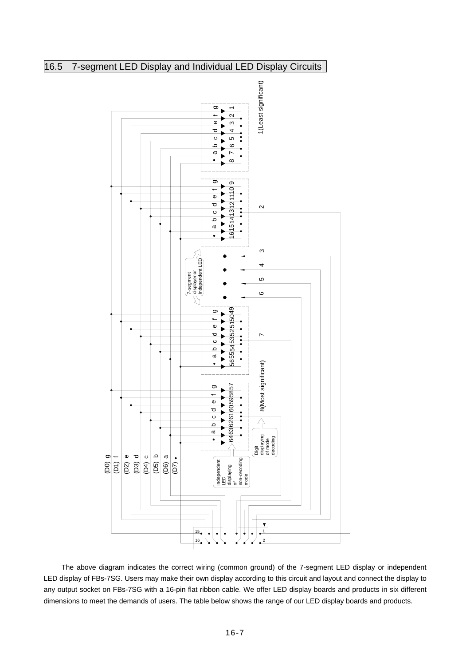# 16.5 7-segment LED Display and Individual LED Display Circuits



 The above diagram indicates the correct wiring (common ground) of the 7-segment LED display or independent LED display of FBs-7SG. Users may make their own display according to this circuit and layout and connect the display to any output socket on FBs-7SG with a 16-pin flat ribbon cable. We offer LED display boards and products in six different dimensions to meet the demands of users. The table below shows the range of our LED display boards and products.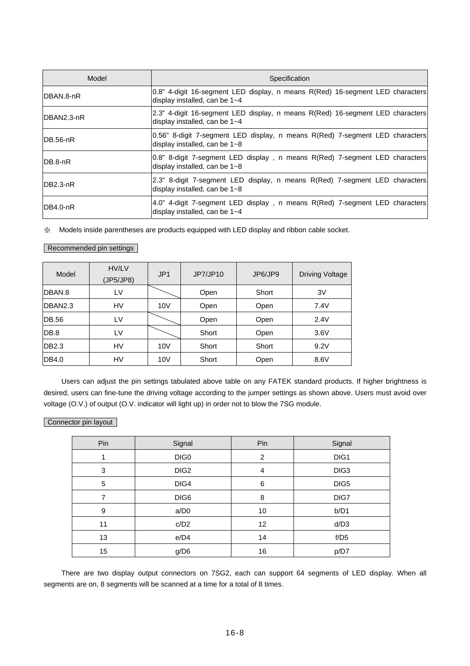| Model       | Specification                                                                                                   |
|-------------|-----------------------------------------------------------------------------------------------------------------|
| IDBAN.8-nR  | 0.8" 4-digit 16-segment LED display, n means R(Red) 16-segment LED characters<br>display installed, can be 1~4  |
| DBAN2.3-nR  | [2.3" 4-digit 16-segment LED display, n means R(Red) 16-segment LED characters<br>display installed, can be 1~4 |
| $IDB.56-nR$ | 0.56" 8-digit 7-segment LED display, n means R(Red) 7-segment LED characters<br>display installed, can be 1~8   |
| IDB.8-nR    | [0.8" 8-digit 7-segment LED display, n means R(Red) 7-segment LED characters<br>display installed, can be 1~8   |
| $IDB2.3-nR$ | [2.3" 8-digit 7-segment LED display, n means R(Red) 7-segment LED characters<br>display installed, can be 1~8   |
| $IDB4.0-nR$ | 4.0" 4-digit 7-segment LED display, n means R(Red) 7-segment LED characters<br>display installed, can be 1~4    |

※ Models inside parentheses are products equipped with LED display and ribbon cable socket.

### Recommended pin settings

| Model             | HV/LV<br>(JP5/JP8) | JP <sub>1</sub> | JP7/JP10 | JP6/JP9 | <b>Driving Voltage</b> |
|-------------------|--------------------|-----------------|----------|---------|------------------------|
| DBAN.8            | LV                 |                 | Open     | Short   | 3V                     |
| DBAN2.3           | HV                 | 10V             | Open     | Open    | 7.4V                   |
| <b>DB.56</b>      | LV                 |                 | Open     | Open    | 2.4V                   |
| DB.8              | LV                 |                 | Short    | Open    | 3.6V                   |
| DB <sub>2.3</sub> | HV                 | 10V             | Short    | Short   | 9.2V                   |
| DB4.0             | HV                 | 10V             | Short    | Open    | 8.6V                   |

 Users can adjust the pin settings tabulated above table on any FATEK standard products. If higher brightness is desired, users can fine-tune the driving voltage according to the jumper settings as shown above. Users must avoid over voltage (O.V.) of output (O.V. indicator will light up) in order not to blow the 7SG module.

### Connector pin layout

| Pin | Signal           | Pin | Signal |
|-----|------------------|-----|--------|
|     | DIG0             | 2   | DIG1   |
| 3   | DIG <sub>2</sub> | 4   | DIG3   |
| 5   | DIG4             | 6   | DIG5   |
| 7   | DIG6             | 8   | DIG7   |
| 9   | a/D0             | 10  | b/D1   |
| 11  | c/D2             | 12  | d/D3   |
| 13  | e/D4             | 14  | f/D5   |
| 15  | g/D6             | 16  | p/D7   |

 There are two display output connectors on 7SG2, each can support 64 segments of LED display. When all segments are on, 8 segments will be scanned at a time for a total of 8 times.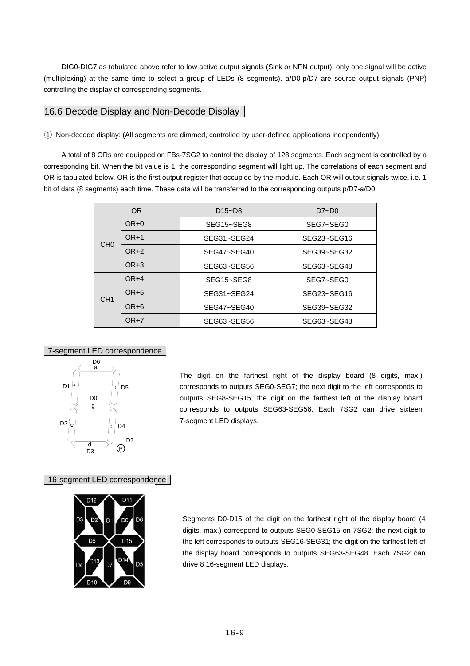DIG0-DIG7 as tabulated above refer to low active output signals (Sink or NPN output), only one signal will be active (multiplexing) at the same time to select a group of LEDs (8 segments). a/D0-p/D7 are source output signals (PNP) controlling the display of corresponding segments.

## 16.6 Decode Display and Non-Decode Display

○1 Non-decode display: (All segments are dimmed, controlled by user-defined applications independently)

 A total of 8 ORs are equipped on FBs-7SG2 to control the display of 128 segments. Each segment is controlled by a corresponding bit. When the bit value is 1, the corresponding segment will light up. The correlations of each segment and OR is tabulated below. OR is the first output register that occupied by the module. Each OR will output signals twice, i.e. 1 bit of data (8 segments) each time. These data will be transferred to the corresponding outputs p/D7-a/D0.

|                 | OR.    | $D15-D8$    | $D7 - D0$   |  |  |
|-----------------|--------|-------------|-------------|--|--|
|                 | $OR+0$ | SEG15~SEG8  | SEG7~SEG0   |  |  |
| CH <sub>0</sub> | $OR+1$ | SEG31~SEG24 | SEG23~SEG16 |  |  |
|                 | $OR+2$ | SEG47~SEG40 | SEG39~SEG32 |  |  |
| $OR+3$          |        | SEG63~SEG56 | SEG63~SEG48 |  |  |
|                 | $OR+4$ | SEG15~SEG8  | SEG7~SEG0   |  |  |
| CH <sub>1</sub> | $OR+5$ | SEG31~SEG24 | SEG23~SEG16 |  |  |
|                 | OR+6   | SEG47~SEG40 | SEG39~SEG32 |  |  |
|                 | $OR+7$ | SEG63~SEG56 | SEG63~SEG48 |  |  |

#### 7-segment LED correspondence



The digit on the farthest right of the display board (8 digits, max.) corresponds to outputs SEG0-SEG7; the next digit to the left corresponds to outputs SEG8-SEG15; the digit on the farthest left of the display board corresponds to outputs SEG63-SEG56. Each 7SG2 can drive sixteen 7-segment LED displays.

16-segment LED correspondence



Segments D0-D15 of the digit on the farthest right of the display board (4 digits, max.) correspond to outputs SEG0-SEG15 on 7SG2; the next digit to the left corresponds to outputs SEG16-SEG31; the digit on the farthest left of the display board corresponds to outputs SEG63-SEG48. Each 7SG2 can drive 8 16-segment LED displays.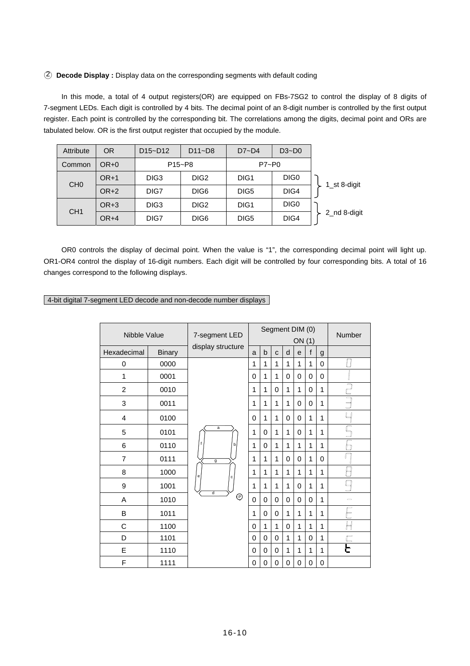#### ○2 **Decode Display :** Display data on the corresponding segments with default coding

 In this mode, a total of 4 output registers(OR) are equipped on FBs-7SG2 to control the display of 8 digits of 7-segment LEDs. Each digit is controlled by 4 bits. The decimal point of an 8-digit number is controlled by the first output register. Each point is controlled by the corresponding bit. The correlations among the digits, decimal point and ORs are tabulated below. OR is the first output register that occupied by the module.

| Attribute       | <b>OR</b> | $D15-D12$                       | $D11 - D8$       | $D7 - D4$        | $D3-D0$          |              |
|-----------------|-----------|---------------------------------|------------------|------------------|------------------|--------------|
| Common          | $OR+0$    | P <sub>15</sub> ~P <sub>8</sub> |                  | P7~P0            |                  |              |
|                 | $OR+1$    | DIG <sub>3</sub>                | DIG <sub>2</sub> | DIG <sub>1</sub> | DIG <sub>0</sub> |              |
| CH <sub>0</sub> | $OR+2$    | DIG7                            | DIG <sub>6</sub> | DIG <sub>5</sub> | DIG4             | 1 st 8-digit |
|                 | $OR+3$    | DIG <sub>3</sub>                | DIG <sub>2</sub> | DIG1             | DIG <sub>0</sub> |              |
| CH <sub>1</sub> | $OR+4$    | DIG7                            | DIG <sub>6</sub> | DIG <sub>5</sub> | DIG4             | 2 nd 8-digit |

 OR0 controls the display of decimal point. When the value is "1", the corresponding decimal point will light up. OR1-OR4 control the display of 16-digit numbers. Each digit will be controlled by four corresponding bits. A total of 16 changes correspond to the following displays.

4-bit digital 7-segment LED decode and non-decode number displays

| Nibble Value   |               | 7-segment LED     |             | Segment DIM (0)<br>ON (1) |   |              |          |              |             | <b>Number</b>           |
|----------------|---------------|-------------------|-------------|---------------------------|---|--------------|----------|--------------|-------------|-------------------------|
| Hexadecimal    | <b>Binary</b> | display structure | a           | b                         | C | d            | e        | $\mathbf{f}$ | g           |                         |
| 0              | 0000          |                   | 1           | 1                         | 1 | $\mathbf{1}$ | 1        | 1            | $\mathbf 0$ | 0                       |
| 1              | 0001          |                   | 0           | 1                         | 1 | 0            | 0        | $\mathbf 0$  | $\mathbf 0$ |                         |
| $\overline{2}$ | 0010          |                   | 1           | 1                         | 0 | 1            | 1        | 0            | 1           | Ŋ                       |
| 3              | 0011          |                   | 1           | 1                         | 1 | $\mathbf{1}$ | 0        | 0            | 1           | Ē                       |
| 4              | 0100          |                   | $\Omega$    | 1                         | 1 | 0            | 0        | 1            | 1           | $\overline{4}$          |
| 5              | 0101          | $\overline{a}$    | 1           | 0                         | 1 | $\mathbf{1}$ | 0        | 1            | 1           | $\overline{\mathbb{F}}$ |
| 6              | 0110          | b                 | 1           | 0                         | 1 | $\mathbf{1}$ | 1        | 1            | 1           | 6                       |
| 7              | 0111          | $\overline{g}$    | 1           | 1                         | 1 | 0            | 0        | 1            | $\Omega$    | $\Box$                  |
| 8              | 1000          | e<br>c            | 1           | 1                         | 1 | 1            | 1        | 1            | 1           |                         |
| 9              | 1001          |                   | 1           | 1                         | 1 | $\mathbf{1}$ | $\Omega$ | 1            | 1           |                         |
| Α              | 1010          | d<br>℗            | $\mathbf 0$ | 0                         | 0 | 0            | 0        | $\mathbf 0$  | 1           | $\Rightarrow$           |
| B              | 1011          |                   | 1           | 0                         | 0 | 1            | 1        | 1            | 1           | ┝                       |
| C              | 1100          |                   | $\Omega$    | 1                         | 1 | 0            | 1        | 1            | 1           | H                       |
| D              | 1101          |                   | $\Omega$    | $\mathbf 0$               | 0 | 1            | 1        | $\mathbf 0$  | 1           |                         |
| E              | 1110          |                   | 0           | 0                         | 0 | $\mathbf{1}$ | 1        | 1            | 1           |                         |
| F              | 1111          |                   | 0           | 0                         | 0 | 0            | 0        | 0            | $\mathbf 0$ |                         |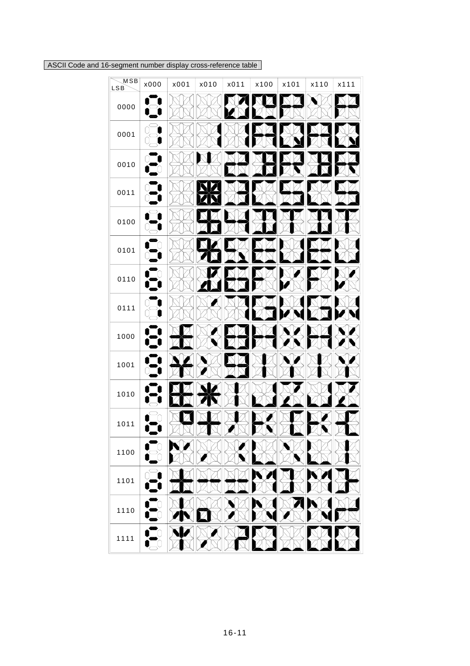ASCII Code and 16-segment number display cross-reference table

| $\overline{\mathsf{MSB}}$<br>LSB | x000 | x001 | x010 | x011 | x100 | x101 | x110 | x111 |
|----------------------------------|------|------|------|------|------|------|------|------|
| 0000                             |      |      |      |      |      |      |      |      |
| 0001                             |      |      |      |      |      |      |      |      |
| 0010                             |      |      |      |      |      |      |      |      |
| 0011                             |      |      |      |      |      |      |      |      |
| 0100                             |      |      |      |      |      |      |      |      |
| 0101                             |      |      |      |      |      |      |      |      |
| 0110                             |      |      |      |      |      |      |      |      |
| 0111                             |      |      |      |      |      |      |      |      |
| 1000                             |      |      |      |      |      |      |      |      |
| 1001                             |      |      |      |      |      |      |      |      |
| 1010                             |      |      |      |      |      |      |      |      |
| 1011                             |      |      |      |      |      |      |      |      |
| 1100                             |      |      |      |      |      |      |      |      |
| 1101                             |      |      |      |      |      |      |      |      |
| 1110                             |      |      |      |      |      |      |      |      |
| 1111                             |      |      |      |      |      |      |      |      |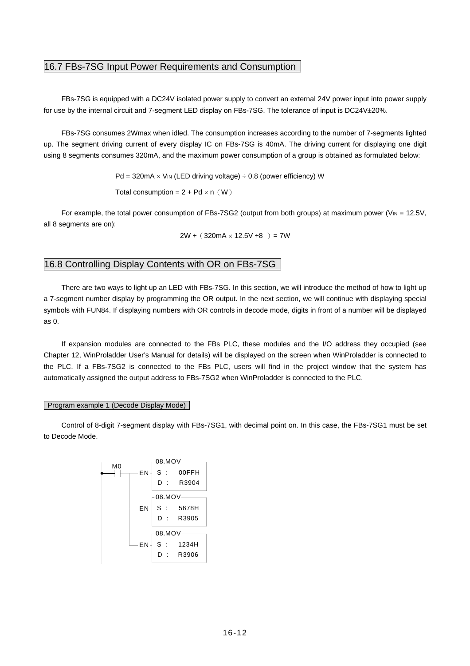# 16.7 FBs-7SG Input Power Requirements and Consumption

 FBs-7SG is equipped with a DC24V isolated power supply to convert an external 24V power input into power supply for use by the internal circuit and 7-segment LED display on FBs-7SG. The tolerance of input is DC24V±20%.

 FBs-7SG consumes 2Wmax when idled. The consumption increases according to the number of 7-segments lighted up. The segment driving current of every display IC on FBs-7SG is 40mA. The driving current for displaying one digit using 8 segments consumes 320mA, and the maximum power consumption of a group is obtained as formulated below:

 $Pd = 320mA \times V_{IN}$  (LED driving voltage)  $\div$  0.8 (power efficiency) W

Total consumption =  $2 + Pd \times n(W)$ 

For example, the total power consumption of FBs-7SG2 (output from both groups) at maximum power ( $V_{\text{IN}} = 12.5V$ , all 8 segments are on):

 $2W + (320mA \times 12.5V \div 8) = 7W$ 

## 16.8 Controlling Display Contents with OR on FBs-7SG

 There are two ways to light up an LED with FBs-7SG. In this section, we will introduce the method of how to light up a 7-segment number display by programming the OR output. In the next section, we will continue with displaying special symbols with FUN84. If displaying numbers with OR controls in decode mode, digits in front of a number will be displayed as 0.

 If expansion modules are connected to the FBs PLC, these modules and the I/O address they occupied (see Chapter 12, WinProladder User's Manual for details) will be displayed on the screen when WinProladder is connected to the PLC. If a FBs-7SG2 is connected to the FBs PLC, users will find in the project window that the system has automatically assigned the output address to FBs-7SG2 when WinProladder is connected to the PLC.

#### Program example 1 (Decode Display Mode)

 Control of 8-digit 7-segment display with FBs-7SG1, with decimal point on. In this case, the FBs-7SG1 must be set to Decode Mode.

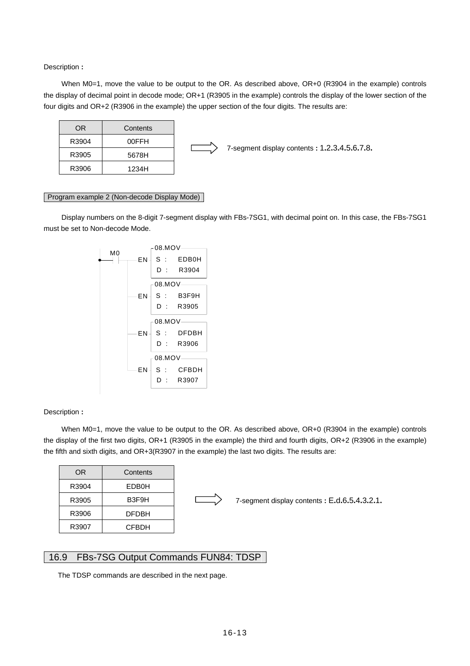Description **:**

When M0=1, move the value to be output to the OR. As described above, OR+0 (R3904 in the example) controls the display of decimal point in decode mode; OR+1 (R3905 in the example) controls the display of the lower section of the four digits and OR+2 (R3906 in the example) the upper section of the four digits. The results are:



#### Program example 2 (Non-decode Display Mode)

 Display numbers on the 8-digit 7-segment display with FBs-7SG1, with decimal point on. In this case, the FBs-7SG1 must be set to Non-decode Mode.



#### Description **:**

When M0=1, move the value to be output to the OR. As described above, OR+0 (R3904 in the example) controls the display of the first two digits, OR+1 (R3905 in the example) the third and fourth digits, OR+2 (R3906 in the example) the fifth and sixth digits, and OR+3(R3907 in the example) the last two digits. The results are:

| OR    | Contents     |
|-------|--------------|
| R3904 | EDB0H        |
| R3905 | B3F9H        |
| R3906 | <b>DFDBH</b> |
| R3907 | CFBDH        |



7-segment display contents **:** E**.**d**.**6**.**5**.**4**.**3**.**2**.**1**.**

### 16.9 FBs-7SG Output Commands FUN84: TDSP

The TDSP commands are described in the next page.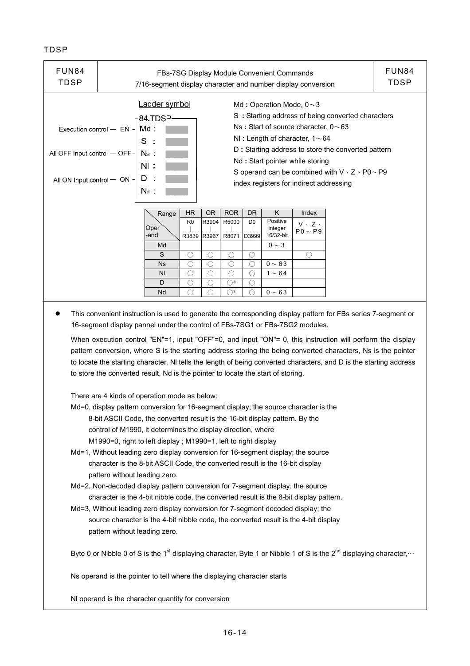## TDSP

| FUN <sub>84</sub><br><b>TDSP</b>                                                                                                                                                                                                                                                                                                                                                                                                                                                                                                                       | FUN84<br>FBs-7SG Display Module Convenient Commands<br>TDSP<br>7/16-segment display character and number display conversion                                                                   |                |                         |                |                |                         |                                  |                                 |  |  |
|--------------------------------------------------------------------------------------------------------------------------------------------------------------------------------------------------------------------------------------------------------------------------------------------------------------------------------------------------------------------------------------------------------------------------------------------------------------------------------------------------------------------------------------------------------|-----------------------------------------------------------------------------------------------------------------------------------------------------------------------------------------------|----------------|-------------------------|----------------|----------------|-------------------------|----------------------------------|---------------------------------|--|--|
| Ladder symbol<br>Md: Operation Mode, $0 \sim 3$<br>S: Starting address of being converted characters<br>84 TDSP<br>Ns: Start of source character, $0 \sim 63$<br>Md :<br>Execution control $-$ EN<br>NI: Length of character, $1 \sim 64$<br>S<br>D : Starting address to store the converted pattern<br>All OFF Input control $-$ OFF-<br>Ns :<br>Nd: Start pointer while storing<br>$N\Gamma$<br>S operand can be combined with $V \cdot Z \cdot PO \sim PQ$<br>D<br>All ON Input control - ON<br>index registers for indirect addressing<br>$N_d$ . |                                                                                                                                                                                               |                |                         |                |                |                         |                                  |                                 |  |  |
|                                                                                                                                                                                                                                                                                                                                                                                                                                                                                                                                                        |                                                                                                                                                                                               | Range          | <b>HR</b>               | <b>OR</b>      | <b>ROR</b>     | <b>DR</b>               | K                                | Index                           |  |  |
|                                                                                                                                                                                                                                                                                                                                                                                                                                                                                                                                                        |                                                                                                                                                                                               | Oper<br>-and   | R <sub>0</sub><br>R3839 | R3904<br>R3967 | R5000<br>R8071 | D <sub>0</sub><br>D3999 | Positive<br>integer<br>16/32-bit | $V \cdot Z$ .<br>$P_0 \sim P_9$ |  |  |
|                                                                                                                                                                                                                                                                                                                                                                                                                                                                                                                                                        |                                                                                                                                                                                               | Md             |                         |                |                |                         | $0 \sim 3$                       |                                 |  |  |
|                                                                                                                                                                                                                                                                                                                                                                                                                                                                                                                                                        |                                                                                                                                                                                               | S              | О                       | O              | O              | O                       |                                  | ∩                               |  |  |
|                                                                                                                                                                                                                                                                                                                                                                                                                                                                                                                                                        |                                                                                                                                                                                               | <b>Ns</b>      | ∩                       | ∩              | ∩              | ∩                       | $0 \sim 63$                      |                                 |  |  |
|                                                                                                                                                                                                                                                                                                                                                                                                                                                                                                                                                        |                                                                                                                                                                                               | N <sub>l</sub> | ◯                       | $\bigcirc$     | $\bigcirc$     | $\bigcirc$              | $1 \sim 64$                      |                                 |  |  |
|                                                                                                                                                                                                                                                                                                                                                                                                                                                                                                                                                        |                                                                                                                                                                                               | D              | ◯                       | ◯              | $\bigcirc^*$   | $\bigcirc$              |                                  |                                 |  |  |
| $0 - 63$<br>Nd<br>∩<br>∩<br>$\bigcap^*$<br>∩                                                                                                                                                                                                                                                                                                                                                                                                                                                                                                           |                                                                                                                                                                                               |                |                         |                |                |                         |                                  |                                 |  |  |
|                                                                                                                                                                                                                                                                                                                                                                                                                                                                                                                                                        | This convenient instruction is used to generate the corresponding display pattern for FBs series 7-segment or<br>16-segment display pannel under the control of FBs-7SG1 or FBs-7SG2 modules. |                |                         |                |                |                         |                                  |                                 |  |  |

When execution control "EN"=1, input "OFF"=0, and input "ON"= 0, this instruction will perform the display pattern conversion, where S is the starting address storing the being converted characters, Ns is the pointer to locate the starting character, Nl tells the length of being converted characters, and D is the starting address to store the converted result, Nd is the pointer to locate the start of storing.

There are 4 kinds of operation mode as below:

- Md=0, display pattern conversion for 16-segment display; the source character is the 8-bit ASCII Code, the converted result is the 16-bit display pattern. By the control of M1990, it determines the display direction, where M1990=0, right to left display ; M1990=1, left to right display
- Md=1, Without leading zero display conversion for 16-segment display; the source character is the 8-bit ASCII Code, the converted result is the 16-bit display pattern without leading zero.
- Md=2, Non-decoded display pattern conversion for 7-segment display; the source character is the 4-bit nibble code, the converted result is the 8-bit display pattern.
- Md=3, Without leading zero display conversion for 7-segment decoded display; the source character is the 4-bit nibble code, the converted result is the 4-bit display pattern without leading zero.

Byte 0 or Nibble 0 of S is the 1<sup>st</sup> displaying character, Byte 1 or Nibble 1 of S is the 2<sup>nd</sup> displaying character, ...

Ns operand is the pointer to tell where the displaying character starts

Nl operand is the character quantity for conversion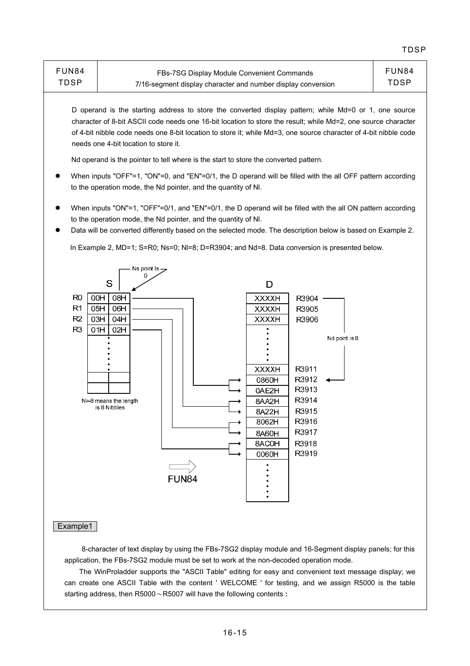| FUN84 | <b>FBs-7SG Display Module Convenient Commands</b>            | FUN84 |
|-------|--------------------------------------------------------------|-------|
| TDSP  | 7/16-segment display character and number display conversion | TDSP  |

D operand is the starting address to store the converted display pattern; while Md=0 or 1, one source character of 8-bit ASCII code needs one 16-bit location to store the result; while Md=2, one source character of 4-bit nibble code needs one 8-bit location to store it; while Md=3, one source character of 4-bit nibble code needs one 4-bit location to store it.

Nd operand is the pointer to tell where is the start to store the converted pattern.

- When inputs "OFF"=1, "ON"=0, and "EN"=0/1, the D operand will be filled with the all OFF pattern according to the operation mode, the Nd pointer, and the quantity of Nl.
- When inputs "ON"=1, "OFF"=0/1, and "EN"=0/1, the D operand will be filled with the all ON pattern according to the operation mode, the Nd pointer, and the quantity of Nl.
- Data will be converted differently based on the selected mode. The description below is based on Example 2.

In Example 2, MD=1; S=R0; Ns=0; Nl=8; D=R3904; and Nd=8. Data conversion is presented below.



#### Example1

 8-character of text display by using the FBs-7SG2 display module and 16-Segment display panels; for this application, the FBs-7SG2 module must be set to work at the non-decoded operation mode.

 The WinProladder supports the "ASCII Table" editing for easy and convenient text message display; we can create one ASCII Table with the content ' WELCOME ' for testing, and we assign R5000 is the table starting address, then R5000~R5007 will have the following contents **:**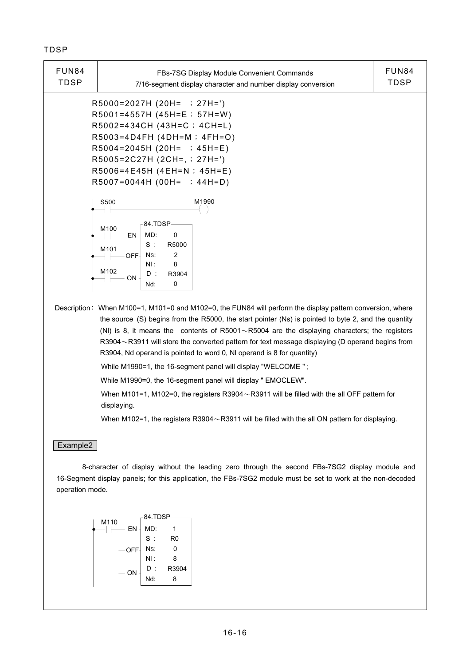## TDSP

| <b>FUN84</b>                                                                                                                                                                                                                                                                                                                                                                                                                                                                                                                                                       | FBs-7SG Display Module Convenient Commands                                                                                                                                                                                                                                                                            | <b>FUN84</b> |  |  |
|--------------------------------------------------------------------------------------------------------------------------------------------------------------------------------------------------------------------------------------------------------------------------------------------------------------------------------------------------------------------------------------------------------------------------------------------------------------------------------------------------------------------------------------------------------------------|-----------------------------------------------------------------------------------------------------------------------------------------------------------------------------------------------------------------------------------------------------------------------------------------------------------------------|--------------|--|--|
| <b>TDSP</b>                                                                                                                                                                                                                                                                                                                                                                                                                                                                                                                                                        | 7/16-segment display character and number display conversion                                                                                                                                                                                                                                                          | <b>TDSP</b>  |  |  |
|                                                                                                                                                                                                                                                                                                                                                                                                                                                                                                                                                                    | R5000=2027H (20H= ; 27H=')<br>$R5001 = 4557H (45H = E ; 57H = W)$<br>R5002=434CH (43H=C; 4CH=L)<br>$R5003=4D4FH (4DH=M : 4FH=O)$<br>$R5004=2045H (20H= ; 45H=E)$<br>R5005=2C27H (2CH=, ; 27H=')<br>R5006=4E45H (4EH=N; 45H=E)<br>$R5007=0044H (00H=$ ; 44H=D)                                                         |              |  |  |
|                                                                                                                                                                                                                                                                                                                                                                                                                                                                                                                                                                    | S500<br>M1990<br>84.TDSP-<br>M <sub>100</sub><br>MD:<br>EN-<br>0<br>$S$ :<br>R5000<br>M <sub>101</sub><br>2<br>Ns:<br>OFF-<br>NI:<br>8<br>M <sub>102</sub><br>D:<br>R3904<br>∙ ON<br>0<br>Nd:                                                                                                                         |              |  |  |
| Description: When M100=1, M101=0 and M102=0, the FUN84 will perform the display pattern conversion, where<br>the source (S) begins from the R5000, the start pointer (Ns) is pointed to byte 2, and the quantity<br>(NI) is 8, it means the contents of R5001 $\sim$ R5004 are the displaying characters; the registers<br>R3904~R3911 will store the converted pattern for text message displaying (D operand begins from<br>R3904, Nd operand is pointed to word 0, NI operand is 8 for quantity)<br>While M1990=1, the 16-segment panel will display "WELCOME"; |                                                                                                                                                                                                                                                                                                                       |              |  |  |
|                                                                                                                                                                                                                                                                                                                                                                                                                                                                                                                                                                    | While M1990=0, the 16-segment panel will display " EMOCLEW".<br>When M101=1, M102=0, the registers R3904 $\sim$ R3911 will be filled with the all OFF pattern for<br>displaying.                                                                                                                                      |              |  |  |
| Example2                                                                                                                                                                                                                                                                                                                                                                                                                                                                                                                                                           | When M102=1, the registers R3904 $\sim$ R3911 will be filled with the all ON pattern for displaying.<br>8-character of display without the leading zero through the second FBs-7SG2 display module and<br>16-Segment display panels; for this application, the FBs-7SG2 module must be set to work at the non-decoded |              |  |  |

operation mode.

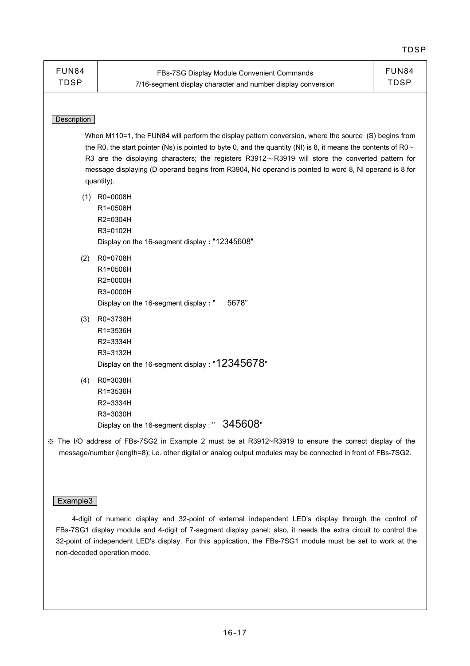| <b>FUN84</b><br><b>TDSP</b>                                                                                                                                                                                                                                                                                                                                                                                                                                   | FBs-7SG Display Module Convenient Commands<br>7/16-segment display character and number display conversion | <b>FUN84</b><br><b>TDSP</b> |  |  |
|---------------------------------------------------------------------------------------------------------------------------------------------------------------------------------------------------------------------------------------------------------------------------------------------------------------------------------------------------------------------------------------------------------------------------------------------------------------|------------------------------------------------------------------------------------------------------------|-----------------------------|--|--|
| Description                                                                                                                                                                                                                                                                                                                                                                                                                                                   |                                                                                                            |                             |  |  |
| When M110=1, the FUN84 will perform the display pattern conversion, where the source (S) begins from<br>the R0, the start pointer (Ns) is pointed to byte 0, and the quantity (NI) is 8, it means the contents of R0 $\sim$<br>R3 are the displaying characters; the registers $R3912 \sim R3919$ will store the converted pattern for<br>message displaying (D operand begins from R3904, Nd operand is pointed to word 8, NI operand is 8 for<br>quantity). |                                                                                                            |                             |  |  |
| (1)                                                                                                                                                                                                                                                                                                                                                                                                                                                           | R0=0008H<br>R1=0506H<br>R2=0304H<br>R3=0102H<br>Display on the 16-segment display: "12345608"              |                             |  |  |
| (2)                                                                                                                                                                                                                                                                                                                                                                                                                                                           | R0=0708H<br>R1=0506H<br>R2=0000H<br>R3=0000H<br>5678"<br>Display on the 16-segment display : "             |                             |  |  |
| (3)                                                                                                                                                                                                                                                                                                                                                                                                                                                           | R0=3738H<br>R1=3536H<br>R2=3334H<br>R3=3132H<br>Display on the 16-segment display: "12345678"              |                             |  |  |
| (4)                                                                                                                                                                                                                                                                                                                                                                                                                                                           | R0=3038H<br>R1=3536H<br>R2=3334H<br>R3=3030H<br>Display on the 16-segment display : " $345608$ "           |                             |  |  |
| ※ The I/O address of FBs-7SG2 in Example 2 must be at R3912~R3919 to ensure the correct display of the<br>message/number (length=8); i.e. other digital or analog output modules may be connected in front of FBs-7SG2.                                                                                                                                                                                                                                       |                                                                                                            |                             |  |  |

## Example3

 4-digit of numeric display and 32-point of external independent LED's display through the control of FBs-7SG1 display module and 4-digit of 7-segment display panel; also, it needs the extra circuit to control the 32-point of independent LED's display. For this application, the FBs-7SG1 module must be set to work at the non-decoded operation mode.